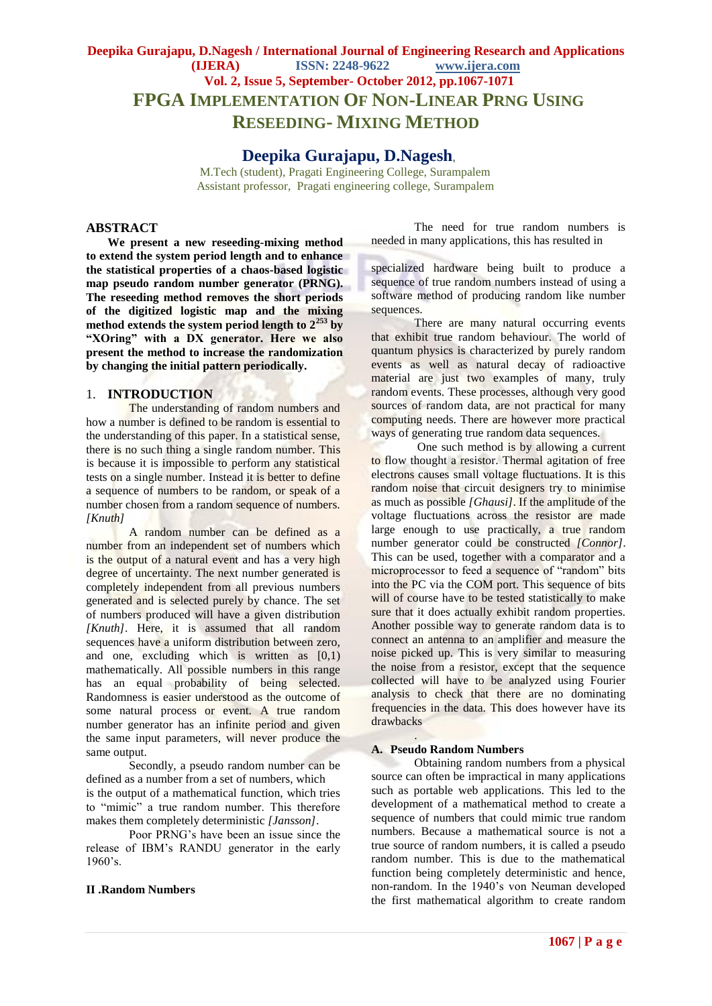# **Deepika Gurajapu, D.Nagesh / International Journal of Engineering Research and Applications (IJERA) ISSN: 2248-9622 www.ijera.com Vol. 2, Issue 5, September- October 2012, pp.1067-1071 FPGA IMPLEMENTATION OF NON-LINEAR PRNG USING RESEEDING- MIXING METHOD**

 **Deepika Gurajapu, D.Nagesh**,

 M.Tech (student), Pragati Engineering College, Surampalem Assistant professor, Pragati engineering college, Surampalem

## **ABSTRACT**

**We present a new reseeding-mixing method to extend the system period length and to enhance the statistical properties of a chaos-based logistic map pseudo random number generator (PRNG). The reseeding method removes the short periods of the digitized logistic map and the mixing method extends the system period length to 2<sup>253</sup> by "XOring" with a DX generator. Here we also present the method to increase the randomization by changing the initial pattern periodically.**

# 1. **INTRODUCTION**

The understanding of random numbers and how a number is defined to be random is essential to the understanding of this paper. In a statistical sense, there is no such thing a single random number. This is because it is impossible to perform any statistical tests on a single number. Instead it is better to define a sequence of numbers to be random, or speak of a number chosen from a random sequence of numbers. *[Knuth]*

A random number can be defined as a number from an independent set of numbers which is the output of a natural event and has a very high degree of uncertainty. The next number generated is completely independent from all previous numbers generated and is selected purely by chance. The set of numbers produced will have a given distribution *[Knuth]*. Here, it is assumed that all random sequences have a uniform distribution between zero, and one, excluding which is written as [0,1) mathematically. All possible numbers in this range has an equal probability of being selected. Randomness is easier understood as the outcome of some natural process or event. A true random number generator has an infinite period and given the same input parameters, will never produce the same output.

Secondly, a pseudo random number can be defined as a number from a set of numbers, which is the output of a mathematical function, which tries to "mimic" a true random number. This therefore makes them completely deterministic *[Jansson]*.

Poor PRNG's have been an issue since the release of IBM's RANDU generator in the early 1960's.

#### **II .Random Numbers**

The need for true random numbers is needed in many applications, this has resulted in

specialized hardware being built to produce a sequence of true random numbers instead of using a software method of producing random like number sequences.

There are many natural occurring events that exhibit true random behaviour. The world of quantum physics is characterized by purely random events as well as natural decay of radioactive material are just two examples of many, truly random events. These processes, although very good sources of random data, are not practical for many computing needs. There are however more practical ways of generating true random data sequences.

One such method is by allowing a current to flow thought a resistor. Thermal agitation of free electrons causes small voltage fluctuations. It is this random noise that circuit designers try to minimise as much as possible *[Ghausi]*. If the amplitude of the voltage fluctuations across the resistor are made large enough to use practically, a true random number generator could be constructed *[Connor]*. This can be used, together with a comparator and a microprocessor to feed a sequence of "random" bits into the PC via the COM port. This sequence of bits will of course have to be tested statistically to make sure that it does actually exhibit random properties. Another possible way to generate random data is to connect an antenna to an amplifier and measure the noise picked up. This is very similar to measuring the noise from a resistor, except that the sequence collected will have to be analyzed using Fourier analysis to check that there are no dominating frequencies in the data. This does however have its drawbacks

#### **A. Pseudo Random Numbers**

.

Obtaining random numbers from a physical source can often be impractical in many applications such as portable web applications. This led to the development of a mathematical method to create a sequence of numbers that could mimic true random numbers. Because a mathematical source is not a true source of random numbers, it is called a pseudo random number. This is due to the mathematical function being completely deterministic and hence, non-random. In the 1940's von Neuman developed the first mathematical algorithm to create random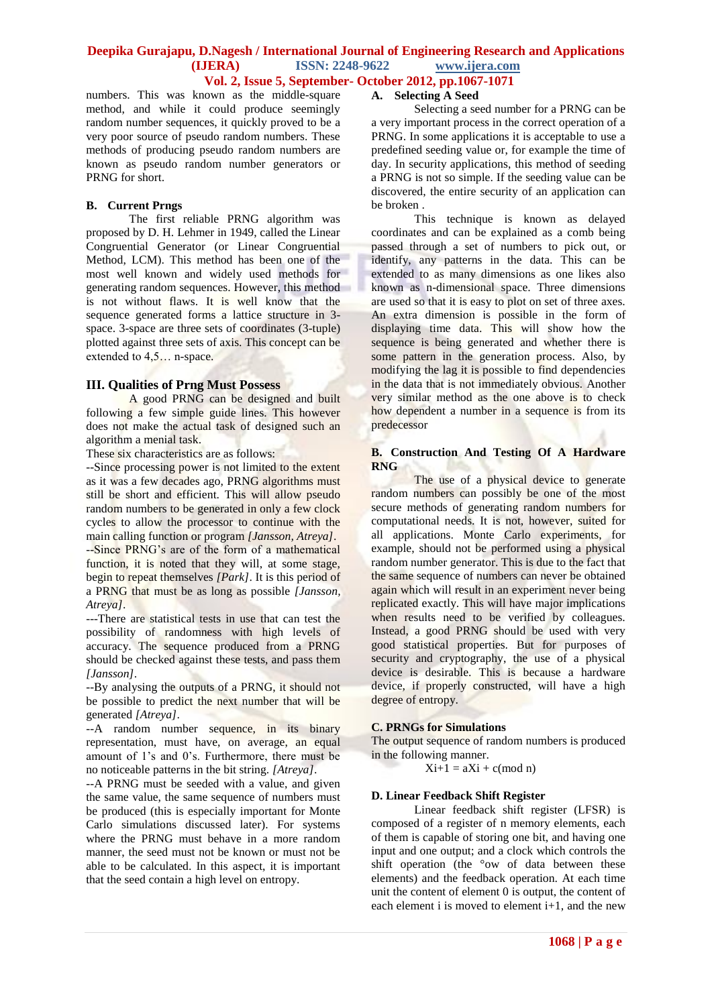# **Deepika Gurajapu, D.Nagesh / International Journal of Engineering Research and Applications ISSN: 2248-9622** www.ijera.com **Vol. 2, Issue 5, September- October 2012, pp.1067-1071**

numbers. This was known as the middle-square method, and while it could produce seemingly random number sequences, it quickly proved to be a very poor source of pseudo random numbers. These methods of producing pseudo random numbers are known as pseudo random number generators or PRNG for short.

# **B. Current Prngs**

The first reliable PRNG algorithm was proposed by D. H. Lehmer in 1949, called the Linear Congruential Generator (or Linear Congruential Method, LCM). This method has been one of the most well known and widely used methods for generating random sequences. However, this method is not without flaws. It is well know that the sequence generated forms a lattice structure in 3 space. 3-space are three sets of coordinates (3-tuple) plotted against three sets of axis. This concept can be extended to 4,5… n-space.

# **III. Qualities of Prng Must Possess**

A good PRNG can be designed and built following a few simple guide lines. This however does not make the actual task of designed such an algorithm a menial task.

These six characteristics are as follows:

--Since processing power is not limited to the extent as it was a few decades ago, PRNG algorithms must still be short and efficient. This will allow pseudo random numbers to be generated in only a few clock cycles to allow the processor to continue with the main calling function or program *[Jansson, Atreya]*.

--Since PRNG's are of the form of a mathematical function, it is noted that they will, at some stage, begin to repeat themselves *[Park]*. It is this period of a PRNG that must be as long as possible *[Jansson, Atreya]*.

---There are statistical tests in use that can test the possibility of randomness with high levels of accuracy. The sequence produced from a PRNG should be checked against these tests, and pass them *[Jansson]*.

--By analysing the outputs of a PRNG, it should not be possible to predict the next number that will be generated *[Atreya]*.

--A random number sequence, in its binary representation, must have, on average, an equal amount of 1's and 0's. Furthermore, there must be no noticeable patterns in the bit string. *[Atreya]*.

--A PRNG must be seeded with a value, and given the same value, the same sequence of numbers must be produced (this is especially important for Monte Carlo simulations discussed later). For systems where the PRNG must behave in a more random manner, the seed must not be known or must not be able to be calculated. In this aspect, it is important that the seed contain a high level on entropy.

# **A. Selecting A Seed**

Selecting a seed number for a PRNG can be a very important process in the correct operation of a PRNG. In some applications it is acceptable to use a predefined seeding value or, for example the time of day. In security applications, this method of seeding a PRNG is not so simple. If the seeding value can be discovered, the entire security of an application can be broken .

This technique is known as delayed coordinates and can be explained as a comb being passed through a set of numbers to pick out, or identify, any patterns in the data. This can be extended to as many dimensions as one likes also known as n-dimensional space. Three dimensions are used so that it is easy to plot on set of three axes. An extra dimension is possible in the form of displaying time data. This will show how the sequence is being generated and whether there is some pattern in the generation process. Also, by modifying the lag it is possible to find dependencies in the data that is not immediately obvious*.* Another very similar method as the one above is to check how dependent a number in a sequence is from its predecessor

# **B. Construction And Testing Of A Hardware RNG**

The use of a physical device to generate random numbers can possibly be one of the most secure methods of generating random numbers for computational needs. It is not, however, suited for all applications. Monte Carlo experiments, for example, should not be performed using a physical random number generator. This is due to the fact that the same sequence of numbers can never be obtained again which will result in an experiment never being replicated exactly. This will have major implications when results need to be verified by colleagues. Instead, a good PRNG should be used with very good statistical properties. But for purposes of security and cryptography, the use of a physical device is desirable. This is because a hardware device, if properly constructed, will have a high degree of entropy.

## **C. PRNGs for Simulations**

The output sequence of random numbers is produced in the following manner.

 $Xi+1 = aXi + c (mod n)$ 

# **D. Linear Feedback Shift Register**

Linear feedback shift register (LFSR) is composed of a register of n memory elements, each of them is capable of storing one bit, and having one input and one output; and a clock which controls the shift operation (the °ow of data between these elements) and the feedback operation. At each time unit the content of element 0 is output, the content of each element i is moved to element i+1, and the new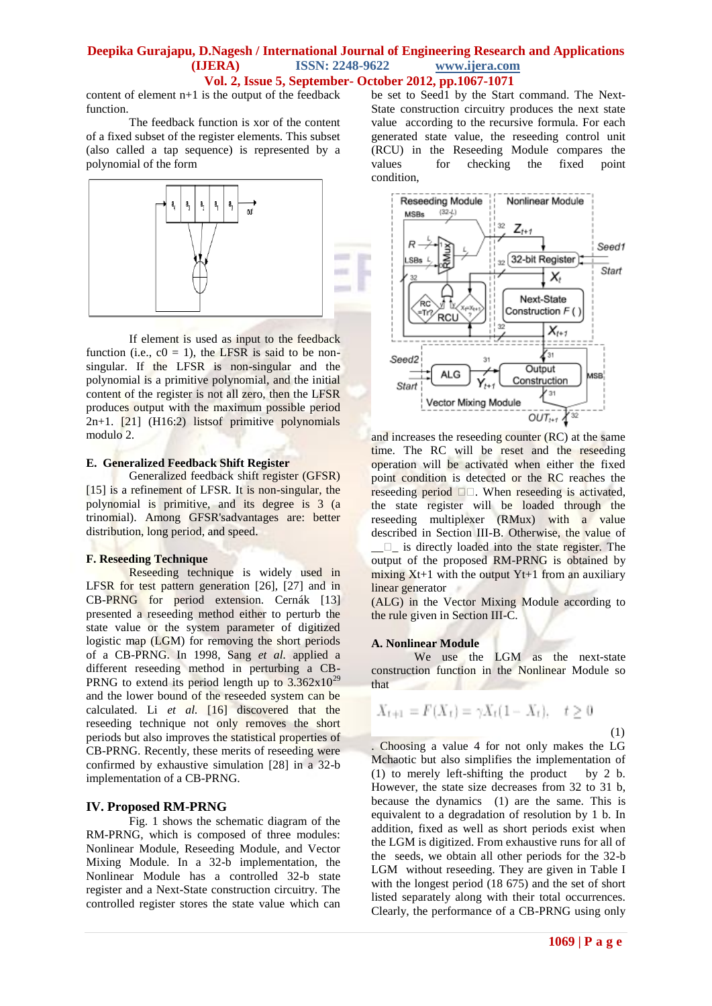# **Deepika Gurajapu, D.Nagesh / International Journal of Engineering Research and Applications (IJERA) ISSN: 2248-9622 www.ijera.com Vol. 2, Issue 5, September- October 2012, pp.1067-1071**

content of element n+1 is the output of the feedback function.

The feedback function is xor of the content of a fixed subset of the register elements. This subset (also called a tap sequence) is represented by a polynomial of the form



If element is used as input to the feedback function (i.e.,  $c0 = 1$ ), the LFSR is said to be nonsingular. If the LFSR is non-singular and the polynomial is a primitive polynomial, and the initial content of the register is not all zero, then the LFSR produces output with the maximum possible period 2n+1. [21] (H16:2) listsof primitive polynomials modulo 2.

#### **E. Generalized Feedback Shift Register**

Generalized feedback shift register (GFSR) [15] is a refinement of LFSR. It is non-singular, the polynomial is primitive, and its degree is 3 (a trinomial). Among GFSR'sadvantages are: better distribution, long period, and speed.

## **F. Reseeding Technique**

Reseeding technique is widely used in LFSR for test pattern generation [26], [27] and in CB-PRNG for period extension. Cernák [13] presented a reseeding method either to perturb the state value or the system parameter of digitized logistic map (LGM) for removing the short periods of a CB-PRNG. In 1998, Sang *et al.* applied a different reseeding method in perturbing a CB-PRNG to extend its period length up to  $3.362 \times 10^{29}$ and the lower bound of the reseeded system can be calculated. Li *et al.* [16] discovered that the reseeding technique not only removes the short periods but also improves the statistical properties of CB-PRNG. Recently, these merits of reseeding were confirmed by exhaustive simulation [28] in a 32-b implementation of a CB-PRNG.

## **IV. Proposed RM-PRNG**

Fig. 1 shows the schematic diagram of the RM-PRNG, which is composed of three modules: Nonlinear Module, Reseeding Module, and Vector Mixing Module. In a 32-b implementation, the Nonlinear Module has a controlled 32-b state register and a Next-State construction circuitry. The controlled register stores the state value which can be set to Seed1 by the Start command. The Next-State construction circuitry produces the next state value according to the recursive formula. For each generated state value, the reseeding control unit (RCU) in the Reseeding Module compares the values for checking the fixed point condition,



and increases the reseeding counter (RC) at the same time. The RC will be reset and the reseeding operation will be activated when either the fixed point condition is detected or the RC reaches the reseeding period  $\square \square$ . When reseeding is activated, the state register will be loaded through the reseeding multiplexer (RMux) with a value described in Section III-B. Otherwise, the value of  $\Box$  is directly loaded into the state register. The output of the proposed RM-PRNG is obtained by mixing  $Xt+1$  with the output  $Yt+1$  from an auxiliary linear generator

(ALG) in the Vector Mixing Module according to the rule given in Section III-C.

## **A. Nonlinear Module**

We use the LGM as the next-state construction function in the Nonlinear Module so that

$$
X_{t+1} = F(X_t) = \gamma X_t (1 - X_t), \quad t \ge 0
$$

(1)

. Choosing a value 4 for not only makes the LG Mchaotic but also simplifies the implementation of (1) to merely left-shifting the product by 2 b. However, the state size decreases from 32 to 31 b, because the dynamics (1) are the same. This is equivalent to a degradation of resolution by 1 b. In addition, fixed as well as short periods exist when the LGM is digitized. From exhaustive runs for all of the seeds, we obtain all other periods for the 32-b LGM without reseeding. They are given in Table I with the longest period (18 675) and the set of short listed separately along with their total occurrences. Clearly, the performance of a CB-PRNG using only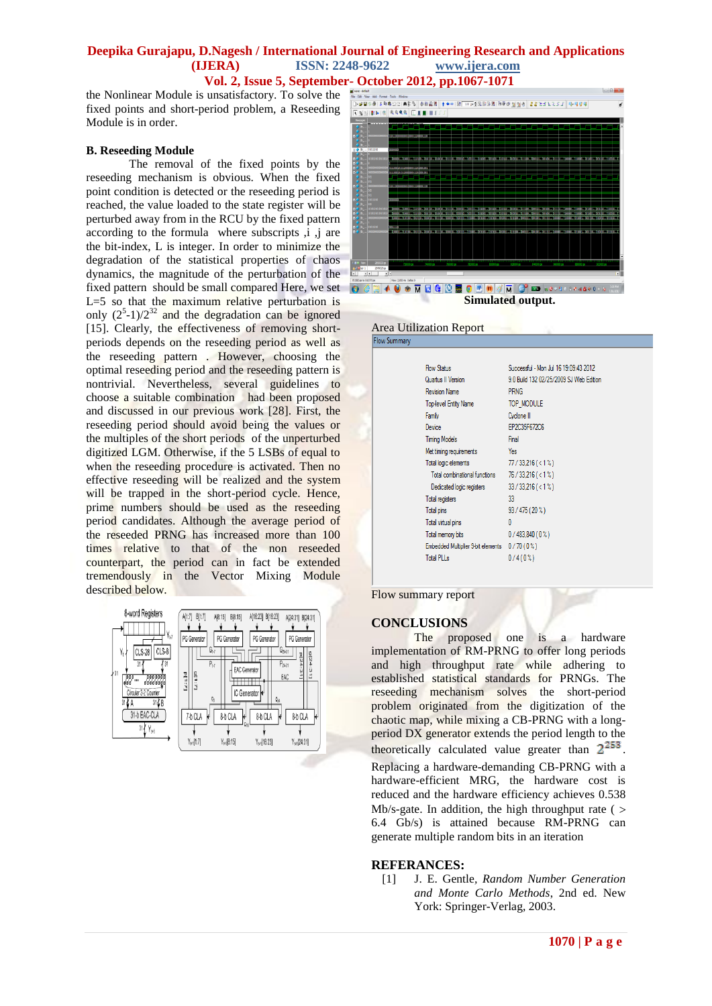# **Deepika Gurajapu, D.Nagesh / International Journal of Engineering Research and Applications ISSN: 2248-9622** www.ijera.com

the Nonlinear Module is unsatisfactory. To solve the fixed points and short-period problem, a Reseeding Module is in order.

#### **B. Reseeding Module**

The removal of the fixed points by the reseeding mechanism is obvious. When the fixed point condition is detected or the reseeding period is reached, the value loaded to the state register will be perturbed away from in the RCU by the fixed pattern according to the formula where subscripts , i , j are the bit-index, L is integer. In order to minimize the degradation of the statistical properties of chaos dynamics, the magnitude of the perturbation of the fixed pattern should be small compared Here, we set  $L=5$  so that the maximum relative perturbation is only  $(2^5-1)/2^{32}$  and the degradation can be ignored [15]. Clearly, the effectiveness of removing shortperiods depends on the reseeding period as well as the reseeding pattern . However, choosing the optimal reseeding period and the reseeding pattern is nontrivial. Nevertheless, several guidelines to choose a suitable combination had been proposed and discussed in our previous work [28]. First, the reseeding period should avoid being the values or the multiples of the short periods of the unperturbed digitized LGM. Otherwise, if the 5 LSBs of equal to when the reseeding procedure is activated. Then no effective reseeding will be realized and the system will be trapped in the short-period cycle. Hence, prime numbers should be used as the reseeding period candidates. Although the average period of the reseeded PRNG has increased more than 100 times relative to that of the non reseeded counterpart, the period can in fact be extended tremendously in the Vector Mixing Module described below.





Area Utilization Report<br>Flow Summary

| <b>Flow Status</b>                 | Successful - Mon Jul 16 19:09:43 2012   |
|------------------------------------|-----------------------------------------|
| Quartus II Version                 | 9.0 Build 132 02/25/2009 SJ Web Edition |
| <b>Revision Name</b>               | <b>PRNG</b>                             |
| <b>Top-level Entity Name</b>       | TOP MODULE                              |
| Family                             | Cyclone II                              |
| Device                             | EP2C35F672C6                            |
| <b>Timing Models</b>               | Final                                   |
| Met timing requirements            | Yes                                     |
| Total logic elements               | $77/33,216 (< 1\%)$                     |
| Total combinational functions      | $76/33,216 (< 1\%)$                     |
| Dedicated logic registers          | $33/33.216 (< 1\%)$                     |
| Total registers                    | 33                                      |
| Total pins                         | $93/475(20\%)$                          |
| Total virtual pins                 | $\mathbf{0}$                            |
| Total memory bits                  | $0/483,840(0\%)$                        |
| Embedded Multiplier 9-bit elements | 0/70(0%)                                |
| <b>Total PLLs</b>                  | $0/4(0\%)$                              |
|                                    |                                         |

Flow summary report

#### **CONCLUSIONS**

The proposed one is a hardware implementation of RM-PRNG to offer long periods and high throughput rate while adhering to established statistical standards for PRNGs. The reseeding mechanism solves the short-period problem originated from the digitization of the chaotic map, while mixing a CB-PRNG with a longperiod DX generator extends the period length to the theoretically calculated value greater than  $2^{253}$ .

Replacing a hardware-demanding CB-PRNG with a hardware-efficient MRG, the hardware cost is reduced and the hardware efficiency achieves 0.538 Mb/s-gate. In addition, the high throughput rate ( $>$ 6.4 Gb/s) is attained because RM-PRNG can generate multiple random bits in an iteration

#### **REFERANCES:**

[1] J. E. Gentle*, Random Number Generation and Monte Carlo Methods*, 2nd ed. New York: Springer-Verlag, 2003.